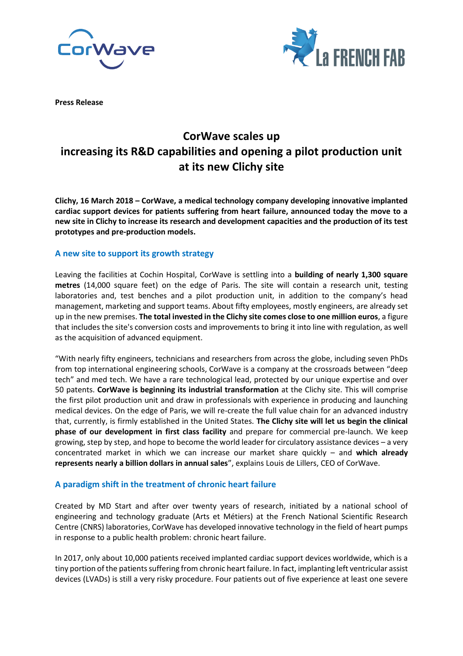



**Press Release**

## **CorWave scales up increasing its R&D capabilities and opening a pilot production unit at its new Clichy site**

**Clichy, 16 March 2018 – CorWave, a medical technology company developing innovative implanted cardiac support devices for patients suffering from heart failure, announced today the move to a new site in Clichy to increase its research and development capacities and the production of its test prototypes and pre-production models.**

## **A new site to support its growth strategy**

Leaving the facilities at Cochin Hospital, CorWave is settling into a **building of nearly 1,300 square metres** (14,000 square feet) on the edge of Paris. The site will contain a research unit, testing laboratories and, test benches and a pilot production unit, in addition to the company's head management, marketing and support teams. About fifty employees, mostly engineers, are already set up in the new premises. **The total invested in the Clichy site comes close to one million euros**, a figure that includes the site's conversion costs and improvements to bring it into line with regulation, as well as the acquisition of advanced equipment.

"With nearly fifty engineers, technicians and researchers from across the globe, including seven PhDs from top international engineering schools, CorWave is a company at the crossroads between "deep tech" and med tech. We have a rare technological lead, protected by our unique expertise and over 50 patents. **CorWave is beginning its industrial transformation** at the Clichy site. This will comprise the first pilot production unit and draw in professionals with experience in producing and launching medical devices. On the edge of Paris, we will re-create the full value chain for an advanced industry that, currently, is firmly established in the United States. **The Clichy site will let us begin the clinical phase of our development in first class facility** and prepare for commercial pre-launch. We keep growing, step by step, and hope to become the world leader for circulatory assistance devices – a very concentrated market in which we can increase our market share quickly – and **which already represents nearly a billion dollars in annual sales**", explains Louis de Lillers, CEO of CorWave.

## **A paradigm shift in the treatment of chronic heart failure**

Created by MD Start and after over twenty years of research, initiated by a national school of engineering and technology graduate (Arts et Métiers) at the French National Scientific Research Centre (CNRS) laboratories, CorWave has developed innovative technology in the field of heart pumps in response to a public health problem: chronic heart failure.

In 2017, only about 10,000 patients received implanted cardiac support devices worldwide, which is a tiny portion of the patients suffering from chronic heart failure. In fact, implanting left ventricular assist devices (LVADs) is still a very risky procedure. Four patients out of five experience at least one severe